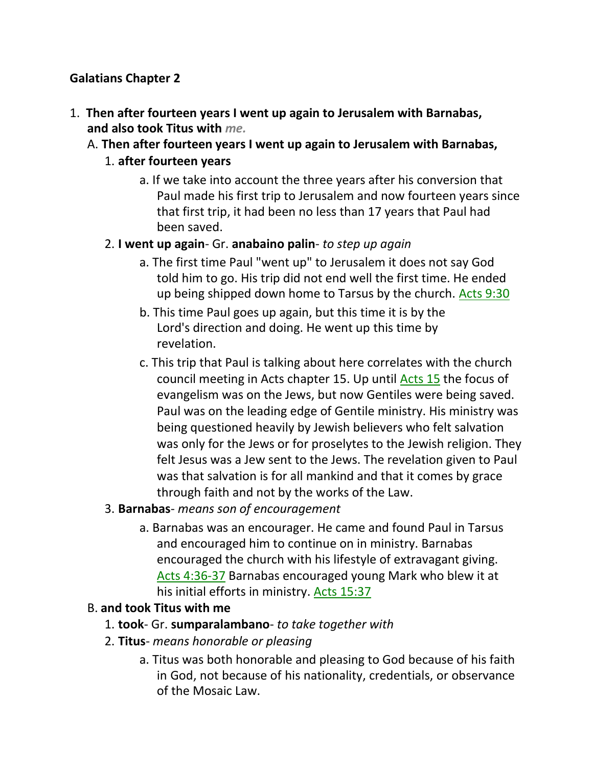### **Galatians Chapter 2**

- 1. **Then after fourteen years I went up again to Jerusalem with Barnabas, and also took Titus with** *me.*
	- A. **Then after fourteen years I went up again to Jerusalem with Barnabas,**

#### 1. **after fourteen years**

a. If we take into account the three years after his conversion that Paul made his first trip to Jerusalem and now fourteen years since that first trip, it had been no less than 17 years that Paul had been saved.

### 2. **I went up again**- Gr. **anabaino palin**- *to step up again*

- a. The first time Paul "went up" to Jerusalem it does not say God told him to go. His trip did not end well the first time. He ended up being shipped down home to Tarsus by the church. Acts 9:30
- b. This time Paul goes up again, but this time it is by the Lord's direction and doing. He went up this time by revelation.
- c. This trip that Paul is talking about here correlates with the church council meeting in Acts chapter 15. Up until Acts 15 the focus of evangelism was on the Jews, but now Gentiles were being saved. Paul was on the leading edge of Gentile ministry. His ministry was being questioned heavily by Jewish believers who felt salvation was only for the Jews or for proselytes to the Jewish religion. They felt Jesus was a Jew sent to the Jews. The revelation given to Paul was that salvation is for all mankind and that it comes by grace through faith and not by the works of the Law.

#### 3. **Barnabas**- *means son of encouragement*

a. Barnabas was an encourager. He came and found Paul in Tarsus and encouraged him to continue on in ministry. Barnabas encouraged the church with his lifestyle of extravagant giving. Acts 4:36-37 Barnabas encouraged young Mark who blew it at his initial efforts in ministry. Acts 15:37

# B. **and took Titus with me**

- 1. **took** Gr. **sumparalambano** *to take together with*
- 2. **Titus** *means honorable or pleasing*
	- a. Titus was both honorable and pleasing to God because of his faith in God, not because of his nationality, credentials, or observance of the Mosaic Law.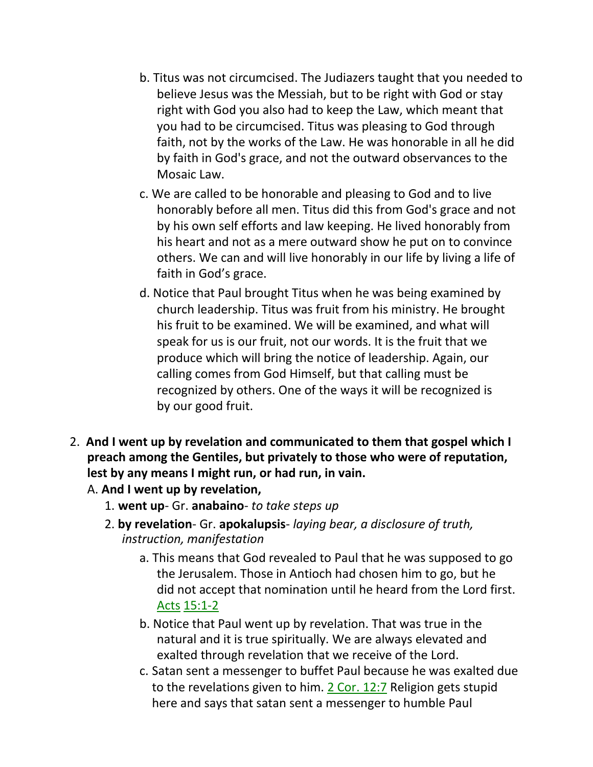- b. Titus was not circumcised. The Judiazers taught that you needed to believe Jesus was the Messiah, but to be right with God or stay right with God you also had to keep the Law, which meant that you had to be circumcised. Titus was pleasing to God through faith, not by the works of the Law. He was honorable in all he did by faith in God's grace, and not the outward observances to the Mosaic Law.
- c. We are called to be honorable and pleasing to God and to live honorably before all men. Titus did this from God's grace and not by his own self efforts and law keeping. He lived honorably from his heart and not as a mere outward show he put on to convince others. We can and will live honorably in our life by living a life of faith in God's grace.
- d. Notice that Paul brought Titus when he was being examined by church leadership. Titus was fruit from his ministry. He brought his fruit to be examined. We will be examined, and what will speak for us is our fruit, not our words. It is the fruit that we produce which will bring the notice of leadership. Again, our calling comes from God Himself, but that calling must be recognized by others. One of the ways it will be recognized is by our good fruit.
- 2. **And I went up by revelation and communicated to them that gospel which I preach among the Gentiles, but privately to those who were of reputation, lest by any means I might run, or had run, in vain.**
	- A. **And I went up by revelation,**
		- 1. **went up** Gr. **anabaino** *to take steps up*
		- 2. **by revelation** Gr. **apokalupsis** *laying bear, a disclosure of truth, instruction, manifestation*
			- a. This means that God revealed to Paul that he was supposed to go the Jerusalem. Those in Antioch had chosen him to go, but he did not accept that nomination until he heard from the Lord first. Acts 15:1-2
			- b. Notice that Paul went up by revelation. That was true in the natural and it is true spiritually. We are always elevated and exalted through revelation that we receive of the Lord.
			- c. Satan sent a messenger to buffet Paul because he was exalted due to the revelations given to him. 2 Cor. 12:7 Religion gets stupid here and says that satan sent a messenger to humble Paul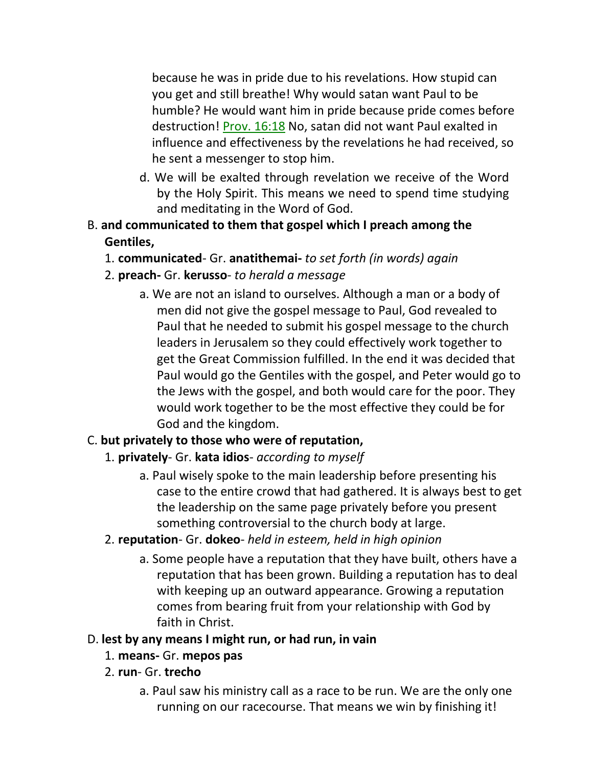because he was in pride due to his revelations. How stupid can you get and still breathe! Why would satan want Paul to be humble? He would want him in pride because pride comes before destruction! Prov. 16:18 No, satan did not want Paul exalted in influence and effectiveness by the revelations he had received, so he sent a messenger to stop him.

- d. We will be exalted through revelation we receive of the Word by the Holy Spirit. This means we need to spend time studying and meditating in the Word of God.
- B. **and communicated to them that gospel which I preach among the Gentiles,**
	- 1. **communicated** Gr. **anatithemai-** *to set forth (in words) again*
	- 2. **preach-** Gr. **kerusso** *to herald a message*
		- a. We are not an island to ourselves. Although a man or a body of men did not give the gospel message to Paul, God revealed to Paul that he needed to submit his gospel message to the church leaders in Jerusalem so they could effectively work together to get the Great Commission fulfilled. In the end it was decided that Paul would go the Gentiles with the gospel, and Peter would go to the Jews with the gospel, and both would care for the poor. They would work together to be the most effective they could be for God and the kingdom.

# C. **but privately to those who were of reputation,**

#### 1. **privately**- Gr. **kata idios**- *according to myself*

- a. Paul wisely spoke to the main leadership before presenting his case to the entire crowd that had gathered. It is always best to get the leadership on the same page privately before you present something controversial to the church body at large.
- 2. **reputation** Gr. **dokeo** *held in esteem, held in high opinion*
	- a. Some people have a reputation that they have built, others have a reputation that has been grown. Building a reputation has to deal with keeping up an outward appearance. Growing a reputation comes from bearing fruit from your relationship with God by faith in Christ.

#### D. **lest by any means I might run, or had run, in vain**

- 1. **means-** Gr. **mepos pas**
- 2. **run** Gr. **trecho**
	- a. Paul saw his ministry call as a race to be run. We are the only one running on our racecourse. That means we win by finishing it!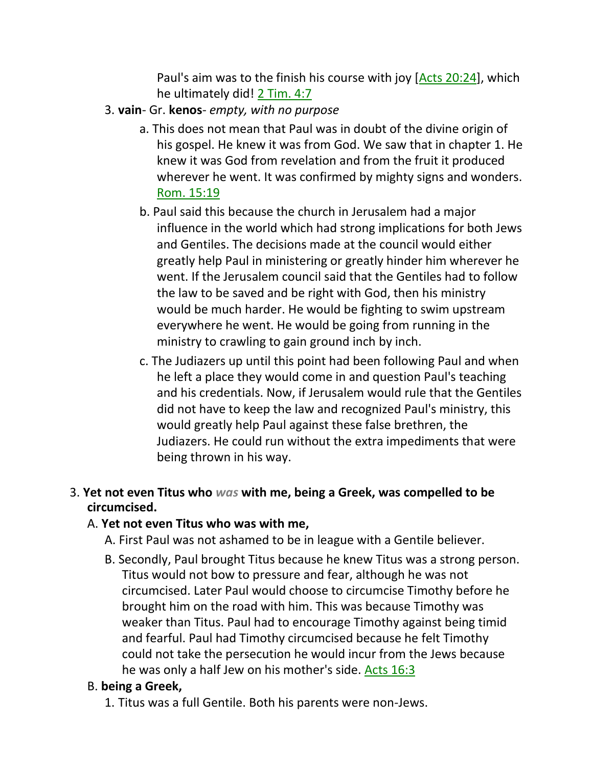Paul's aim was to the finish his course with joy [Acts 20:24], which he ultimately did! 2 Tim. 4:7

- 3. **vain** Gr. **kenos** *empty, with no purpose*
	- a. This does not mean that Paul was in doubt of the divine origin of his gospel. He knew it was from God. We saw that in chapter 1. He knew it was God from revelation and from the fruit it produced wherever he went. It was confirmed by mighty signs and wonders. Rom. 15:19
	- b. Paul said this because the church in Jerusalem had a major influence in the world which had strong implications for both Jews and Gentiles. The decisions made at the council would either greatly help Paul in ministering or greatly hinder him wherever he went. If the Jerusalem council said that the Gentiles had to follow the law to be saved and be right with God, then his ministry would be much harder. He would be fighting to swim upstream everywhere he went. He would be going from running in the ministry to crawling to gain ground inch by inch.
	- c. The Judiazers up until this point had been following Paul and when he left a place they would come in and question Paul's teaching and his credentials. Now, if Jerusalem would rule that the Gentiles did not have to keep the law and recognized Paul's ministry, this would greatly help Paul against these false brethren, the Judiazers. He could run without the extra impediments that were being thrown in his way.

#### 3. **Yet not even Titus who** *was* **with me, being a Greek, was compelled to be circumcised.**

#### A. **Yet not even Titus who was with me,**

- A. First Paul was not ashamed to be in league with a Gentile believer.
- B. Secondly, Paul brought Titus because he knew Titus was a strong person. Titus would not bow to pressure and fear, although he was not circumcised. Later Paul would choose to circumcise Timothy before he brought him on the road with him. This was because Timothy was weaker than Titus. Paul had to encourage Timothy against being timid and fearful. Paul had Timothy circumcised because he felt Timothy could not take the persecution he would incur from the Jews because he was only a half Jew on his mother's side. Acts 16:3

#### B. **being a Greek,**

1. Titus was a full Gentile. Both his parents were non-Jews.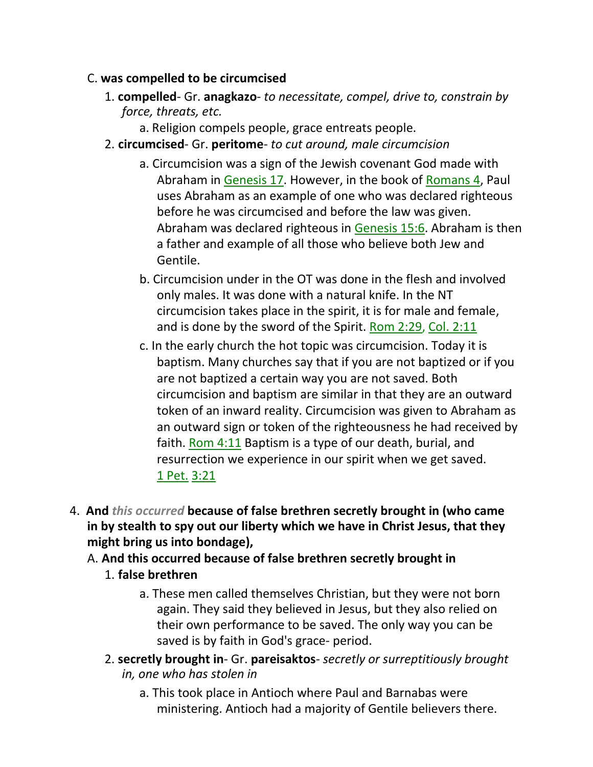#### C. **was compelled to be circumcised**

- 1. **compelled** Gr. **anagkazo** *to necessitate, compel, drive to, constrain by force, threats, etc.*
	- a. Religion compels people, grace entreats people.
- 2. **circumcised** Gr. **peritome** *to cut around, male circumcision*
	- a. Circumcision was a sign of the Jewish covenant God made with Abraham in Genesis 17. However, in the book of Romans 4, Paul uses Abraham as an example of one who was declared righteous before he was circumcised and before the law was given. Abraham was declared righteous in Genesis 15:6. Abraham is then a father and example of all those who believe both Jew and Gentile.
	- b. Circumcision under in the OT was done in the flesh and involved only males. It was done with a natural knife. In the NT circumcision takes place in the spirit, it is for male and female, and is done by the sword of the Spirit. Rom 2:29, Col. 2:11
	- c. In the early church the hot topic was circumcision. Today it is baptism. Many churches say that if you are not baptized or if you are not baptized a certain way you are not saved. Both circumcision and baptism are similar in that they are an outward token of an inward reality. Circumcision was given to Abraham as an outward sign or token of the righteousness he had received by faith. Rom 4:11 Baptism is a type of our death, burial, and resurrection we experience in our spirit when we get saved. 1 Pet. 3:21
- 4. **And** *this occurred* **because of false brethren secretly brought in (who came in by stealth to spy out our liberty which we have in Christ Jesus, that they might bring us into bondage),**
	- A. **And this occurred because of false brethren secretly brought in** 1. **false brethren**
		- a. These men called themselves Christian, but they were not born again. They said they believed in Jesus, but they also relied on their own performance to be saved. The only way you can be saved is by faith in God's grace- period.
		- 2. **secretly brought in** Gr. **pareisaktos** *secretly or surreptitiously brought in, one who has stolen in*
			- a. This took place in Antioch where Paul and Barnabas were ministering. Antioch had a majority of Gentile believers there.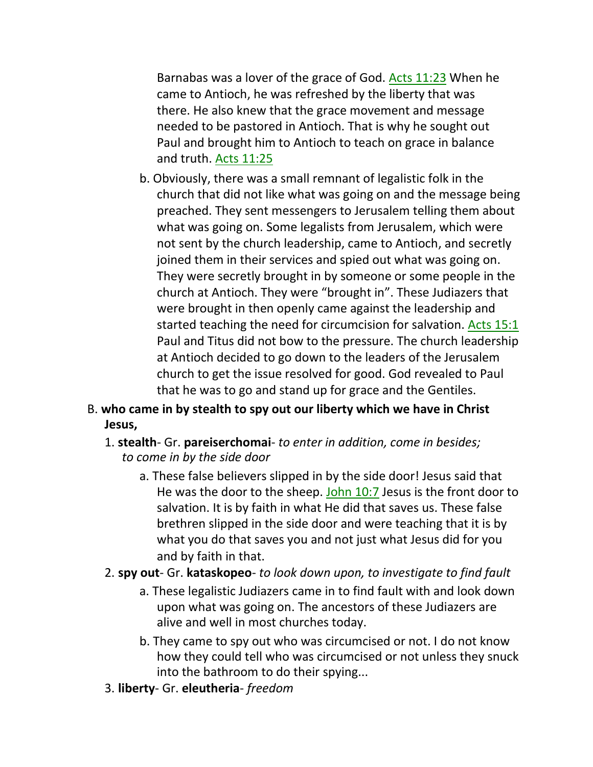Barnabas was a lover of the grace of God. Acts 11:23 When he came to Antioch, he was refreshed by the liberty that was there. He also knew that the grace movement and message needed to be pastored in Antioch. That is why he sought out Paul and brought him to Antioch to teach on grace in balance and truth. Acts 11:25

b. Obviously, there was a small remnant of legalistic folk in the church that did not like what was going on and the message being preached. They sent messengers to Jerusalem telling them about what was going on. Some legalists from Jerusalem, which were not sent by the church leadership, came to Antioch, and secretly joined them in their services and spied out what was going on. They were secretly brought in by someone or some people in the church at Antioch. They were "brought in". These Judiazers that were brought in then openly came against the leadership and started teaching the need for circumcision for salvation. Acts 15:1 Paul and Titus did not bow to the pressure. The church leadership at Antioch decided to go down to the leaders of the Jerusalem church to get the issue resolved for good. God revealed to Paul that he was to go and stand up for grace and the Gentiles.

# B. **who came in by stealth to spy out our liberty which we have in Christ Jesus,**

#### 1. **stealth**- Gr. **pareiserchomai**- *to enter in addition, come in besides; to come in by the side door*

- a. These false believers slipped in by the side door! Jesus said that He was the door to the sheep. John 10:7 Jesus is the front door to salvation. It is by faith in what He did that saves us. These false brethren slipped in the side door and were teaching that it is by what you do that saves you and not just what Jesus did for you and by faith in that.
- 2. **spy out** Gr. **kataskopeo** *to look down upon, to investigate to find fault*
	- a. These legalistic Judiazers came in to find fault with and look down upon what was going on. The ancestors of these Judiazers are alive and well in most churches today.
	- b. They came to spy out who was circumcised or not. I do not know how they could tell who was circumcised or not unless they snuck into the bathroom to do their spying...
- 3. **liberty** Gr. **eleutheria** *freedom*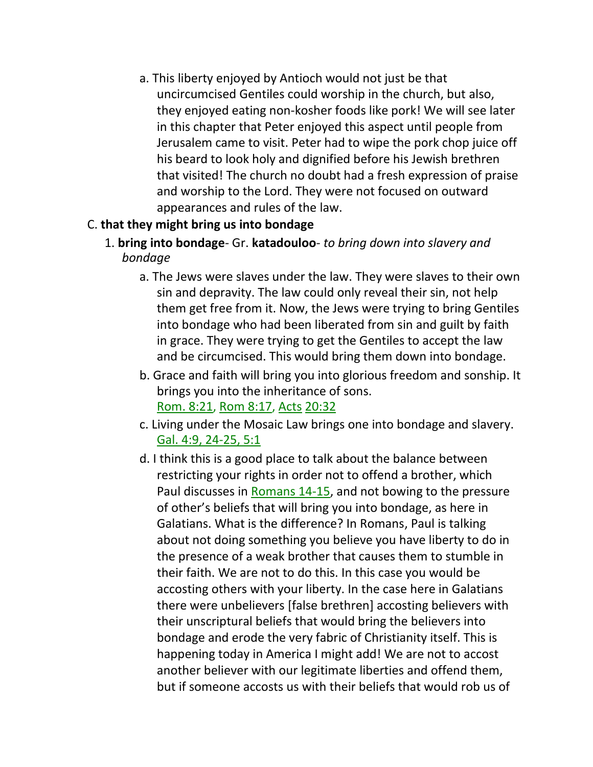a. This liberty enjoyed by Antioch would not just be that uncircumcised Gentiles could worship in the church, but also, they enjoyed eating non-kosher foods like pork! We will see later in this chapter that Peter enjoyed this aspect until people from Jerusalem came to visit. Peter had to wipe the pork chop juice off his beard to look holy and dignified before his Jewish brethren that visited! The church no doubt had a fresh expression of praise and worship to the Lord. They were not focused on outward appearances and rules of the law.

# C. **that they might bring us into bondage**

- 1. **bring into bondage** Gr. **katadouloo** *to bring down into slavery and bondage*
	- a. The Jews were slaves under the law. They were slaves to their own sin and depravity. The law could only reveal their sin, not help them get free from it. Now, the Jews were trying to bring Gentiles into bondage who had been liberated from sin and guilt by faith in grace. They were trying to get the Gentiles to accept the law and be circumcised. This would bring them down into bondage.
	- b. Grace and faith will bring you into glorious freedom and sonship. It brings you into the inheritance of sons. Rom. 8:21, Rom 8:17, Acts 20:32
	- c. Living under the Mosaic Law brings one into bondage and slavery. Gal. 4:9, 24-25, 5:1
	- d. I think this is a good place to talk about the balance between restricting your rights in order not to offend a brother, which Paul discusses in Romans 14-15, and not bowing to the pressure of other's beliefs that will bring you into bondage, as here in Galatians. What is the difference? In Romans, Paul is talking about not doing something you believe you have liberty to do in the presence of a weak brother that causes them to stumble in their faith. We are not to do this. In this case you would be accosting others with your liberty. In the case here in Galatians there were unbelievers [false brethren] accosting believers with their unscriptural beliefs that would bring the believers into bondage and erode the very fabric of Christianity itself. This is happening today in America I might add! We are not to accost another believer with our legitimate liberties and offend them, but if someone accosts us with their beliefs that would rob us of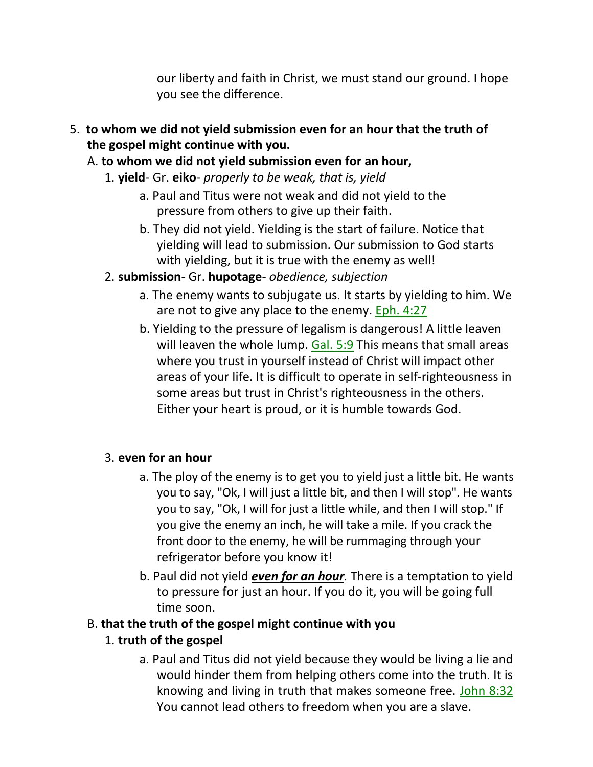our liberty and faith in Christ, we must stand our ground. I hope you see the difference.

- 5. **to whom we did not yield submission even for an hour that the truth of the gospel might continue with you.**
	- A. **to whom we did not yield submission even for an hour,**
		- 1. **yield** Gr. **eiko** *properly to be weak, that is, yield*
			- a. Paul and Titus were not weak and did not yield to the pressure from others to give up their faith.
			- b. They did not yield. Yielding is the start of failure. Notice that yielding will lead to submission. Our submission to God starts with yielding, but it is true with the enemy as well!
		- 2. **submission** Gr. **hupotage** *obedience, subjection*
			- a. The enemy wants to subjugate us. It starts by yielding to him. We are not to give any place to the enemy. Eph. 4:27
			- b. Yielding to the pressure of legalism is dangerous! A little leaven will leaven the whole lump. Gal. 5:9 This means that small areas where you trust in yourself instead of Christ will impact other areas of your life. It is difficult to operate in self-righteousness in some areas but trust in Christ's righteousness in the others. Either your heart is proud, or it is humble towards God.

# 3. **even for an hour**

- a. The ploy of the enemy is to get you to yield just a little bit. He wants you to say, "Ok, I will just a little bit, and then I will stop". He wants you to say, "Ok, I will for just a little while, and then I will stop." If you give the enemy an inch, he will take a mile. If you crack the front door to the enemy, he will be rummaging through your refrigerator before you know it!
- b. Paul did not yield *even for an hour.* There is a temptation to yield to pressure for just an hour. If you do it, you will be going full time soon.

# B. **that the truth of the gospel might continue with you**

# 1. **truth of the gospel**

a. Paul and Titus did not yield because they would be living a lie and would hinder them from helping others come into the truth. It is knowing and living in truth that makes someone free. John 8:32 You cannot lead others to freedom when you are a slave.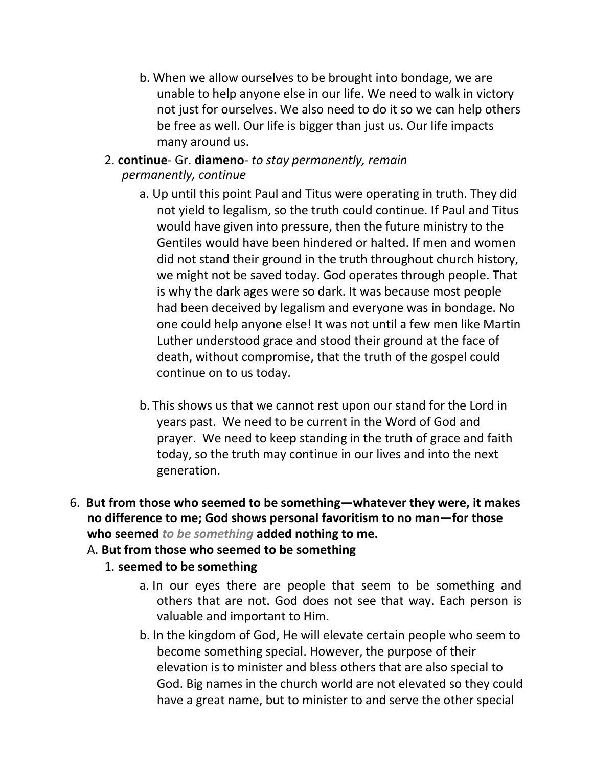- b. When we allow ourselves to be brought into bondage, we are unable to help anyone else in our life. We need to walk in victory not just for ourselves. We also need to do it so we can help others be free as well. Our life is bigger than just us. Our life impacts many around us.
- 2. **continue** Gr. **diameno** *to stay permanently, remain permanently, continue*
	- a. Up until this point Paul and Titus were operating in truth. They did not yield to legalism, so the truth could continue. If Paul and Titus would have given into pressure, then the future ministry to the Gentiles would have been hindered or halted. If men and women did not stand their ground in the truth throughout church history, we might not be saved today. God operates through people. That is why the dark ages were so dark. It was because most people had been deceived by legalism and everyone was in bondage. No one could help anyone else! It was not until a few men like Martin Luther understood grace and stood their ground at the face of death, without compromise, that the truth of the gospel could continue on to us today.
	- b. This shows us that we cannot rest upon our stand for the Lord in years past. We need to be current in the Word of God and prayer. We need to keep standing in the truth of grace and faith today, so the truth may continue in our lives and into the next generation.
- 6. **But from those who seemed to be something—whatever they were, it makes no difference to me; God shows personal favoritism to no man—for those who seemed** *to be something* **added nothing to me.**

# A. **But from those who seemed to be something**

# 1. **seemed to be something**

- a. In our eyes there are people that seem to be something and others that are not. God does not see that way. Each person is valuable and important to Him.
- b. In the kingdom of God, He will elevate certain people who seem to become something special. However, the purpose of their elevation is to minister and bless others that are also special to God. Big names in the church world are not elevated so they could have a great name, but to minister to and serve the other special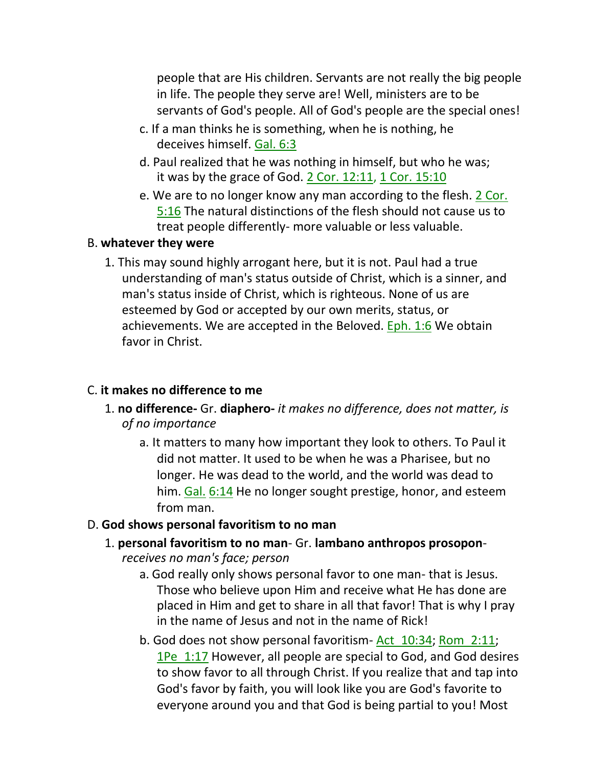people that are His children. Servants are not really the big people in life. The people they serve are! Well, ministers are to be servants of God's people. All of God's people are the special ones!

- c. If a man thinks he is something, when he is nothing, he deceives himself. Gal. 6:3
- d. Paul realized that he was nothing in himself, but who he was; it was by the grace of God. 2 Cor. 12:11, 1 Cor. 15:10
- e. We are to no longer know any man according to the flesh. 2 Cor. 5:16 The natural distinctions of the flesh should not cause us to treat people differently- more valuable or less valuable.

#### B. **whatever they were**

1. This may sound highly arrogant here, but it is not. Paul had a true understanding of man's status outside of Christ, which is a sinner, and man's status inside of Christ, which is righteous. None of us are esteemed by God or accepted by our own merits, status, or achievements. We are accepted in the Beloved. Eph. 1:6 We obtain favor in Christ.

#### C. **it makes no difference to me**

- 1. **no difference-** Gr. **diaphero-** *it makes no difference, does not matter, is of no importance*
	- a. It matters to many how important they look to others. To Paul it did not matter. It used to be when he was a Pharisee, but no longer. He was dead to the world, and the world was dead to him. Gal. 6:14 He no longer sought prestige, honor, and esteem from man.

#### D. **God shows personal favoritism to no man**

- 1. **personal favoritism to no man** Gr. **lambano anthropos prosopon***receives no man's face; person*
	- a. God really only shows personal favor to one man- that is Jesus. Those who believe upon Him and receive what He has done are placed in Him and get to share in all that favor! That is why I pray in the name of Jesus and not in the name of Rick!
	- b. God does not show personal favoritism- Act 10:34; Rom 2:11; 1Pe\_1:17 However, all people are special to God, and God desires to show favor to all through Christ. If you realize that and tap into God's favor by faith, you will look like you are God's favorite to everyone around you and that God is being partial to you! Most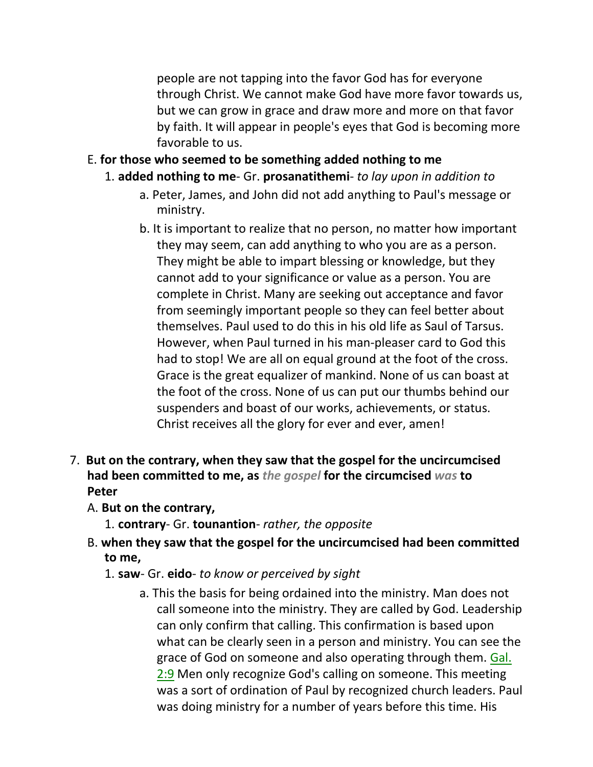people are not tapping into the favor God has for everyone through Christ. We cannot make God have more favor towards us, but we can grow in grace and draw more and more on that favor by faith. It will appear in people's eyes that God is becoming more favorable to us.

- E. **for those who seemed to be something added nothing to me**
	- 1. **added nothing to me** Gr. **prosanatithemi** *to lay upon in addition to*
		- a. Peter, James, and John did not add anything to Paul's message or ministry.
		- b. It is important to realize that no person, no matter how important they may seem, can add anything to who you are as a person. They might be able to impart blessing or knowledge, but they cannot add to your significance or value as a person. You are complete in Christ. Many are seeking out acceptance and favor from seemingly important people so they can feel better about themselves. Paul used to do this in his old life as Saul of Tarsus. However, when Paul turned in his man-pleaser card to God this had to stop! We are all on equal ground at the foot of the cross. Grace is the great equalizer of mankind. None of us can boast at the foot of the cross. None of us can put our thumbs behind our suspenders and boast of our works, achievements, or status. Christ receives all the glory for ever and ever, amen!
- 7. **But on the contrary, when they saw that the gospel for the uncircumcised had been committed to me, as** *the gospel* **for the circumcised** *was* **to Peter**
	- A. **But on the contrary,**
		- 1. **contrary** Gr. **tounantion** *rather, the opposite*
	- B. **when they saw that the gospel for the uncircumcised had been committed to me,**
		- 1. **saw** Gr. **eido** *to know or perceived by sight*
			- a. This the basis for being ordained into the ministry. Man does not call someone into the ministry. They are called by God. Leadership can only confirm that calling. This confirmation is based upon what can be clearly seen in a person and ministry. You can see the grace of God on someone and also operating through them. Gal. 2:9 Men only recognize God's calling on someone. This meeting was a sort of ordination of Paul by recognized church leaders. Paul was doing ministry for a number of years before this time. His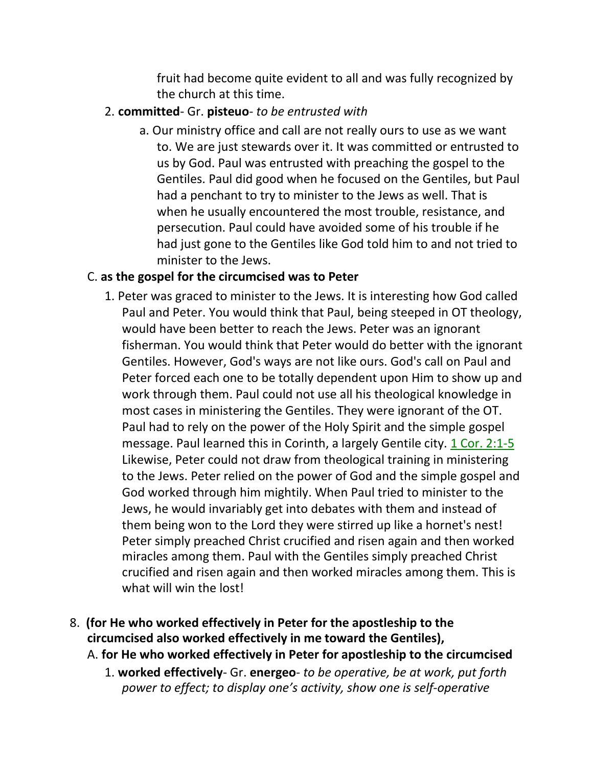fruit had become quite evident to all and was fully recognized by the church at this time.

- 2. **committed** Gr. **pisteuo** *to be entrusted with*
	- a. Our ministry office and call are not really ours to use as we want to. We are just stewards over it. It was committed or entrusted to us by God. Paul was entrusted with preaching the gospel to the Gentiles. Paul did good when he focused on the Gentiles, but Paul had a penchant to try to minister to the Jews as well. That is when he usually encountered the most trouble, resistance, and persecution. Paul could have avoided some of his trouble if he had just gone to the Gentiles like God told him to and not tried to minister to the Jews.

#### C. **as the gospel for the circumcised was to Peter**

- 1. Peter was graced to minister to the Jews. It is interesting how God called Paul and Peter. You would think that Paul, being steeped in OT theology, would have been better to reach the Jews. Peter was an ignorant fisherman. You would think that Peter would do better with the ignorant Gentiles. However, God's ways are not like ours. God's call on Paul and Peter forced each one to be totally dependent upon Him to show up and work through them. Paul could not use all his theological knowledge in most cases in ministering the Gentiles. They were ignorant of the OT. Paul had to rely on the power of the Holy Spirit and the simple gospel message. Paul learned this in Corinth, a largely Gentile city. 1 Cor. 2:1-5 Likewise, Peter could not draw from theological training in ministering to the Jews. Peter relied on the power of God and the simple gospel and God worked through him mightily. When Paul tried to minister to the Jews, he would invariably get into debates with them and instead of them being won to the Lord they were stirred up like a hornet's nest! Peter simply preached Christ crucified and risen again and then worked miracles among them. Paul with the Gentiles simply preached Christ crucified and risen again and then worked miracles among them. This is what will win the lost!
- 8. **(for He who worked effectively in Peter for the apostleship to the circumcised also worked effectively in me toward the Gentiles),**
	- A. **for He who worked effectively in Peter for apostleship to the circumcised**
		- 1. **worked effectively** Gr. **energeo** *to be operative, be at work, put forth power to effect; to display one's activity, show one is self-operative*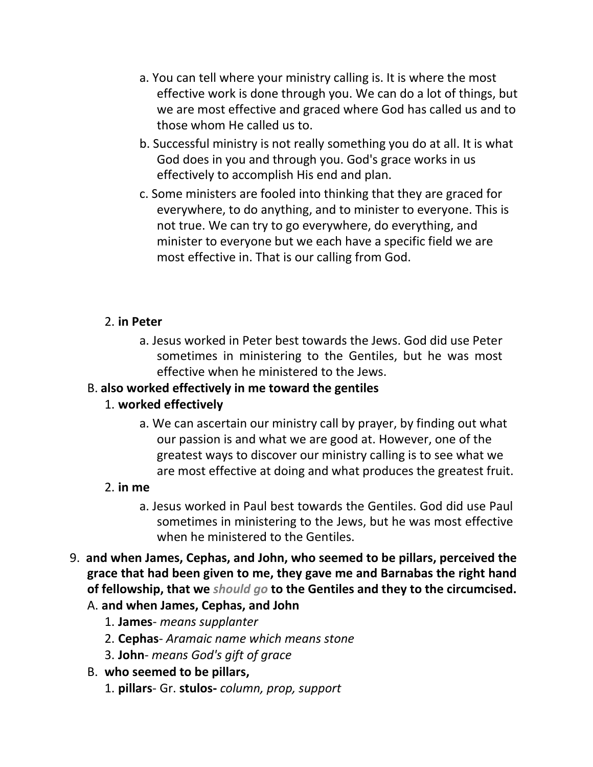- a. You can tell where your ministry calling is. It is where the most effective work is done through you. We can do a lot of things, but we are most effective and graced where God has called us and to those whom He called us to.
- b. Successful ministry is not really something you do at all. It is what God does in you and through you. God's grace works in us effectively to accomplish His end and plan.
- c. Some ministers are fooled into thinking that they are graced for everywhere, to do anything, and to minister to everyone. This is not true. We can try to go everywhere, do everything, and minister to everyone but we each have a specific field we are most effective in. That is our calling from God.

### 2. **in Peter**

a. Jesus worked in Peter best towards the Jews. God did use Peter sometimes in ministering to the Gentiles, but he was most effective when he ministered to the Jews.

# B. **also worked effectively in me toward the gentiles**

#### 1. **worked effectively**

a. We can ascertain our ministry call by prayer, by finding out what our passion is and what we are good at. However, one of the greatest ways to discover our ministry calling is to see what we are most effective at doing and what produces the greatest fruit.

#### 2. **in me**

- a. Jesus worked in Paul best towards the Gentiles. God did use Paul sometimes in ministering to the Jews, but he was most effective when he ministered to the Gentiles.
- 9. **and when James, Cephas, and John, who seemed to be pillars, perceived the grace that had been given to me, they gave me and Barnabas the right hand of fellowship, that we** *should go* **to the Gentiles and they to the circumcised.** A. **and when James, Cephas, and John**
	- 1. **James** *means supplanter*
	- 2. **Cephas** *Aramaic name which means stone*
	- 3. **John** *means God's gift of grace*

#### B. **who seemed to be pillars,**

1. **pillars**- Gr. **stulos-** *column, prop, support*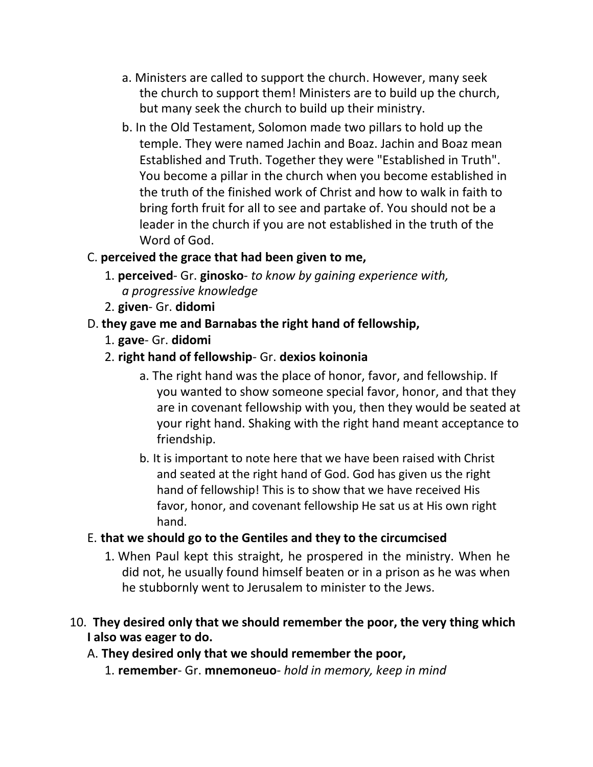- a. Ministers are called to support the church. However, many seek the church to support them! Ministers are to build up the church, but many seek the church to build up their ministry.
- b. In the Old Testament, Solomon made two pillars to hold up the temple. They were named Jachin and Boaz. Jachin and Boaz mean Established and Truth. Together they were "Established in Truth". You become a pillar in the church when you become established in the truth of the finished work of Christ and how to walk in faith to bring forth fruit for all to see and partake of. You should not be a leader in the church if you are not established in the truth of the Word of God.

# C. **perceived the grace that had been given to me,**

- 1. **perceived** Gr. **ginosko** *to know by gaining experience with, a progressive knowledge*
- 2. **given** Gr. **didomi**
- D. **they gave me and Barnabas the right hand of fellowship,**
	- 1. **gave** Gr. **didomi**
	- 2. **right hand of fellowship** Gr. **dexios koinonia**
		- a. The right hand was the place of honor, favor, and fellowship. If you wanted to show someone special favor, honor, and that they are in covenant fellowship with you, then they would be seated at your right hand. Shaking with the right hand meant acceptance to friendship.
		- b. It is important to note here that we have been raised with Christ and seated at the right hand of God. God has given us the right hand of fellowship! This is to show that we have received His favor, honor, and covenant fellowship He sat us at His own right hand.

#### E. **that we should go to the Gentiles and they to the circumcised**

- 1. When Paul kept this straight, he prospered in the ministry. When he did not, he usually found himself beaten or in a prison as he was when he stubbornly went to Jerusalem to minister to the Jews.
- 10. **They desired only that we should remember the poor, the very thing which I also was eager to do.**

# A. **They desired only that we should remember the poor,**

1. **remember**- Gr. **mnemoneuo**- *hold in memory, keep in mind*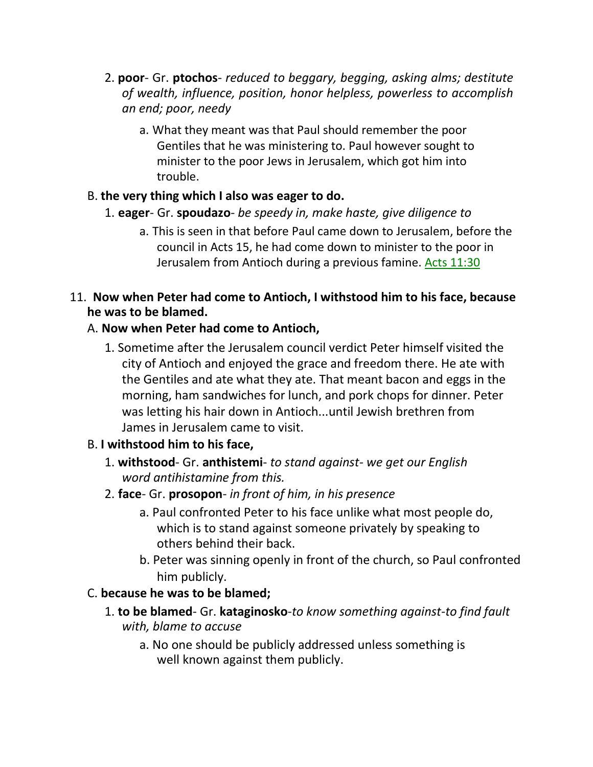- 2. **poor** Gr. **ptochos** *reduced to beggary, begging, asking alms; destitute of wealth, influence, position, honor helpless, powerless to accomplish an end; poor, needy*
	- a. What they meant was that Paul should remember the poor Gentiles that he was ministering to. Paul however sought to minister to the poor Jews in Jerusalem, which got him into trouble.

# B. **the very thing which I also was eager to do.**

- 1. **eager** Gr. **spoudazo** *be speedy in, make haste, give diligence to*
	- a. This is seen in that before Paul came down to Jerusalem, before the council in Acts 15, he had come down to minister to the poor in Jerusalem from Antioch during a previous famine. Acts 11:30

### 11. **Now when Peter had come to Antioch, I withstood him to his face, because he was to be blamed.**

# A. **Now when Peter had come to Antioch,**

1. Sometime after the Jerusalem council verdict Peter himself visited the city of Antioch and enjoyed the grace and freedom there. He ate with the Gentiles and ate what they ate. That meant bacon and eggs in the morning, ham sandwiches for lunch, and pork chops for dinner. Peter was letting his hair down in Antioch...until Jewish brethren from James in Jerusalem came to visit.

# B. **I withstood him to his face,**

- 1. **withstood** Gr. **anthistemi** *to stand against- we get our English word antihistamine from this.*
- 2. **face** Gr. **prosopon** *in front of him, in his presence*
	- a. Paul confronted Peter to his face unlike what most people do, which is to stand against someone privately by speaking to others behind their back.
	- b. Peter was sinning openly in front of the church, so Paul confronted him publicly.

# C. **because he was to be blamed;**

- 1. **to be blamed** Gr. **kataginosko**-*to know something against-to find fault with, blame to accuse*
	- a. No one should be publicly addressed unless something is well known against them publicly.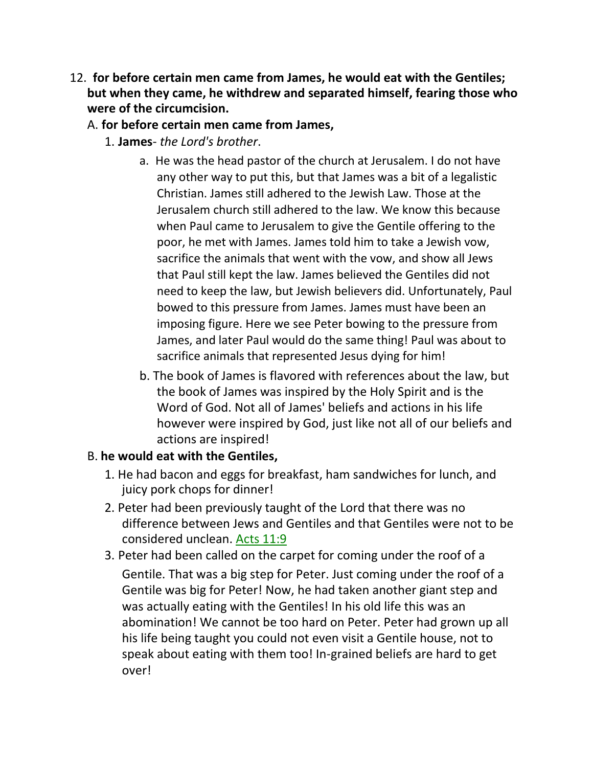12. **for before certain men came from James, he would eat with the Gentiles; but when they came, he withdrew and separated himself, fearing those who were of the circumcision.**

### A. **for before certain men came from James,**

- 1. **James** *the Lord's brother*.
	- a. He was the head pastor of the church at Jerusalem. I do not have any other way to put this, but that James was a bit of a legalistic Christian. James still adhered to the Jewish Law. Those at the Jerusalem church still adhered to the law. We know this because when Paul came to Jerusalem to give the Gentile offering to the poor, he met with James. James told him to take a Jewish vow, sacrifice the animals that went with the vow, and show all Jews that Paul still kept the law. James believed the Gentiles did not need to keep the law, but Jewish believers did. Unfortunately, Paul bowed to this pressure from James. James must have been an imposing figure. Here we see Peter bowing to the pressure from James, and later Paul would do the same thing! Paul was about to sacrifice animals that represented Jesus dying for him!
	- b. The book of James is flavored with references about the law, but the book of James was inspired by the Holy Spirit and is the Word of God. Not all of James' beliefs and actions in his life however were inspired by God, just like not all of our beliefs and actions are inspired!

# B. **he would eat with the Gentiles,**

- 1. He had bacon and eggs for breakfast, ham sandwiches for lunch, and juicy pork chops for dinner!
- 2. Peter had been previously taught of the Lord that there was no difference between Jews and Gentiles and that Gentiles were not to be considered unclean. Acts 11:9
- 3. Peter had been called on the carpet for coming under the roof of a Gentile. That was a big step for Peter. Just coming under the roof of a Gentile was big for Peter! Now, he had taken another giant step and was actually eating with the Gentiles! In his old life this was an abomination! We cannot be too hard on Peter. Peter had grown up all his life being taught you could not even visit a Gentile house, not to speak about eating with them too! In-grained beliefs are hard to get over!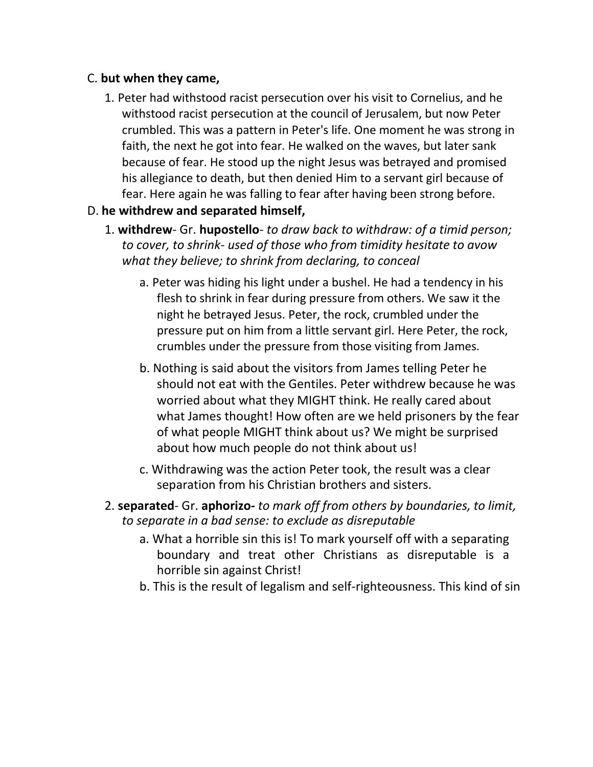#### C. **but when they came,**

1. Peter had withstood racist persecution over his visit to Cornelius, and he withstood racist persecution at the council of Jerusalem, but now Peter crumbled. This was a pattern in Peter's life. One moment he was strong in faith, the next he got into fear. He walked on the waves, but later sank because of fear. He stood up the night Jesus was betrayed and promised his allegiance to death, but then denied Him to a servant girl because of fear. Here again he was falling to fear after having been strong before.

### D. **he withdrew and separated himself,**

- 1. **withdrew** Gr. **hupostello** *to draw back to withdraw: of a timid person; to cover, to shrink- used of those who from timidity hesitate to avow what they believe; to shrink from declaring, to conceal*
	- a. Peter was hiding his light under a bushel. He had a tendency in his flesh to shrink in fear during pressure from others. We saw it the night he betrayed Jesus. Peter, the rock, crumbled under the pressure put on him from a little servant girl. Here Peter, the rock, crumbles under the pressure from those visiting from James.
	- b. Nothing is said about the visitors from James telling Peter he should not eat with the Gentiles. Peter withdrew because he was worried about what they MIGHT think. He really cared about what James thought! How often are we held prisoners by the fear of what people MIGHT think about us? We might be surprised about how much people do not think about us!
	- c. Withdrawing was the action Peter took, the result was a clear separation from his Christian brothers and sisters.
- 2. **separated** Gr. **aphorizo-** *to mark off from others by boundaries, to limit, to separate in a bad sense: to exclude as disreputable*
	- a. What a horrible sin this is! To mark yourself off with a separating boundary and treat other Christians as disreputable is a horrible sin against Christ!
	- b. This is the result of legalism and self-righteousness. This kind of sin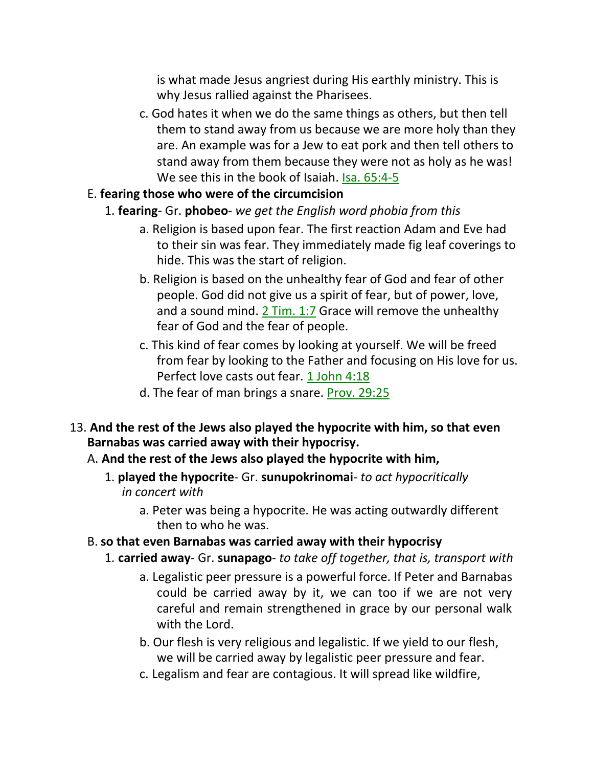is what made Jesus angriest during His earthly ministry. This is why Jesus rallied against the Pharisees.

c. God hates it when we do the same things as others, but then tell them to stand away from us because we are more holy than they are. An example was for a Jew to eat pork and then tell others to stand away from them because they were not as holy as he was! We see this in the book of Isaiah. Isa. 65:4-5

#### E. **fearing those who were of the circumcision**

- 1. **fearing** Gr. **phobeo** *we get the English word phobia from this*
	- a. Religion is based upon fear. The first reaction Adam and Eve had to their sin was fear. They immediately made fig leaf coverings to hide. This was the start of religion.
	- b. Religion is based on the unhealthy fear of God and fear of other people. God did not give us a spirit of fear, but of power, love, and a sound mind. 2 Tim. 1:7 Grace will remove the unhealthy fear of God and the fear of people.
	- c. This kind of fear comes by looking at yourself. We will be freed from fear by looking to the Father and focusing on His love for us. Perfect love casts out fear. 1 John 4:18
	- d. The fear of man brings a snare. Prov. 29:25
- 13. **And the rest of the Jews also played the hypocrite with him, so that even Barnabas was carried away with their hypocrisy.**
	- A. **And the rest of the Jews also played the hypocrite with him,**
		- 1. **played the hypocrite** Gr. **sunupokrinomai** *to act hypocritically in concert with*
			- a. Peter was being a hypocrite. He was acting outwardly different then to who he was.
	- B. **so that even Barnabas was carried away with their hypocrisy**
		- 1. **carried away** Gr. **sunapago** *to take off together, that is, transport with*
			- a. Legalistic peer pressure is a powerful force. If Peter and Barnabas could be carried away by it, we can too if we are not very careful and remain strengthened in grace by our personal walk with the Lord.
			- b. Our flesh is very religious and legalistic. If we yield to our flesh, we will be carried away by legalistic peer pressure and fear.
			- c. Legalism and fear are contagious. It will spread like wildfire,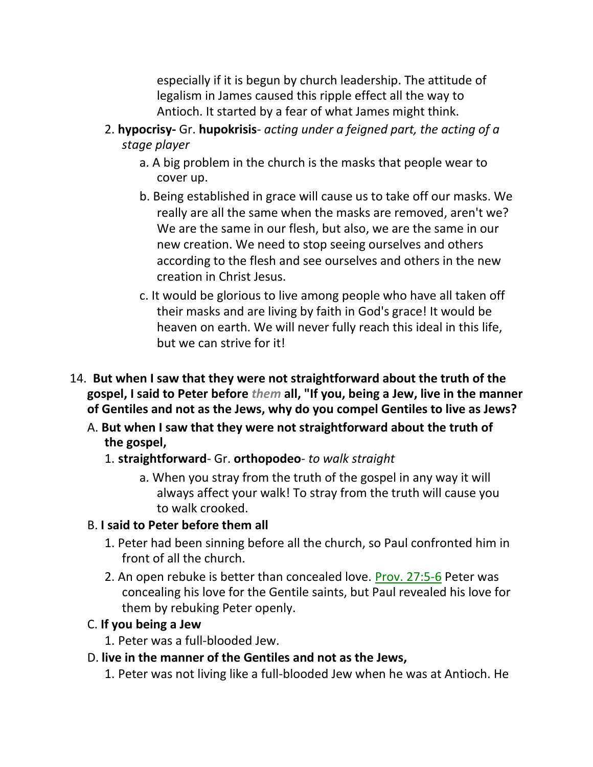especially if it is begun by church leadership. The attitude of legalism in James caused this ripple effect all the way to Antioch. It started by a fear of what James might think.

- 2. **hypocrisy-** Gr. **hupokrisis** *acting under a feigned part, the acting of a stage player*
	- a. A big problem in the church is the masks that people wear to cover up.
	- b. Being established in grace will cause us to take off our masks. We really are all the same when the masks are removed, aren't we? We are the same in our flesh, but also, we are the same in our new creation. We need to stop seeing ourselves and others according to the flesh and see ourselves and others in the new creation in Christ Jesus.
	- c. It would be glorious to live among people who have all taken off their masks and are living by faith in God's grace! It would be heaven on earth. We will never fully reach this ideal in this life, but we can strive for it!
- 14. **But when I saw that they were not straightforward about the truth of the gospel, I said to Peter before** *them* **all, "If you, being a Jew, live in the manner of Gentiles and not as the Jews, why do you compel Gentiles to live as Jews?**
	- A. **But when I saw that they were not straightforward about the truth of the gospel,**

#### 1. **straightforward**- Gr. **orthopodeo**- *to walk straight*

a. When you stray from the truth of the gospel in any way it will always affect your walk! To stray from the truth will cause you to walk crooked.

#### B. **I said to Peter before them all**

- 1. Peter had been sinning before all the church, so Paul confronted him in front of all the church.
- 2. An open rebuke is better than concealed love. Prov. 27:5-6 Peter was concealing his love for the Gentile saints, but Paul revealed his love for them by rebuking Peter openly.

#### C. **If you being a Jew**

- 1. Peter was a full-blooded Jew.
- D. **live in the manner of the Gentiles and not as the Jews,**
	- 1. Peter was not living like a full-blooded Jew when he was at Antioch. He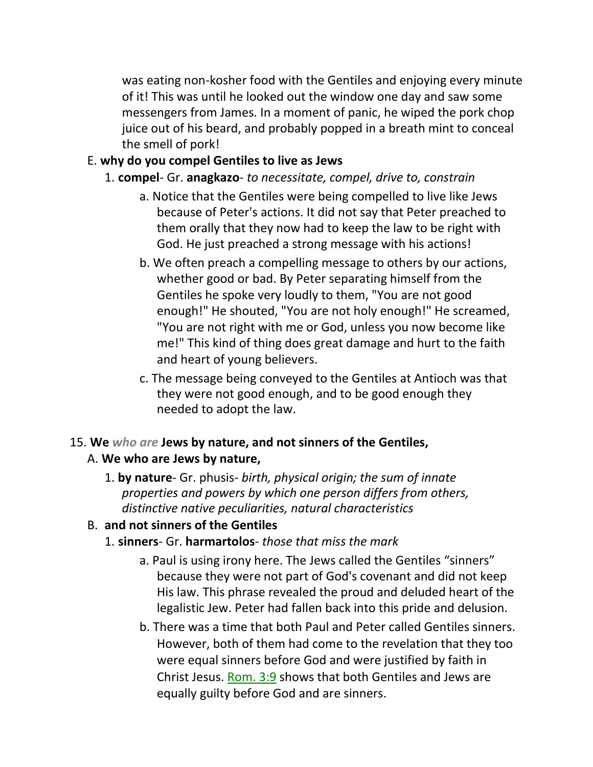was eating non-kosher food with the Gentiles and enjoying every minute of it! This was until he looked out the window one day and saw some messengers from James. In a moment of panic, he wiped the pork chop juice out of his beard, and probably popped in a breath mint to conceal the smell of pork!

#### E. **why do you compel Gentiles to live as Jews**

- 1. **compel** Gr. **anagkazo** *to necessitate, compel, drive to, constrain*
	- a. Notice that the Gentiles were being compelled to live like Jews because of Peter's actions. It did not say that Peter preached to them orally that they now had to keep the law to be right with God. He just preached a strong message with his actions!
	- b. We often preach a compelling message to others by our actions, whether good or bad. By Peter separating himself from the Gentiles he spoke very loudly to them, "You are not good enough!" He shouted, "You are not holy enough!" He screamed, "You are not right with me or God, unless you now become like me!" This kind of thing does great damage and hurt to the faith and heart of young believers.
	- c. The message being conveyed to the Gentiles at Antioch was that they were not good enough, and to be good enough they needed to adopt the law.

# 15. **We** *who are* **Jews by nature, and not sinners of the Gentiles,**

# A. **We who are Jews by nature,**

1. **by nature**- Gr. phusis- *birth, physical origin; the sum of innate properties and powers by which one person differs from others, distinctive native peculiarities, natural characteristics*

# B. **and not sinners of the Gentiles**

- 1. **sinners** Gr. **harmartolos** *those that miss the mark*
	- a. Paul is using irony here. The Jews called the Gentiles "sinners" because they were not part of God's covenant and did not keep His law. This phrase revealed the proud and deluded heart of the legalistic Jew. Peter had fallen back into this pride and delusion.
	- b. There was a time that both Paul and Peter called Gentiles sinners. However, both of them had come to the revelation that they too were equal sinners before God and were justified by faith in Christ Jesus. Rom. 3:9 shows that both Gentiles and Jews are equally guilty before God and are sinners.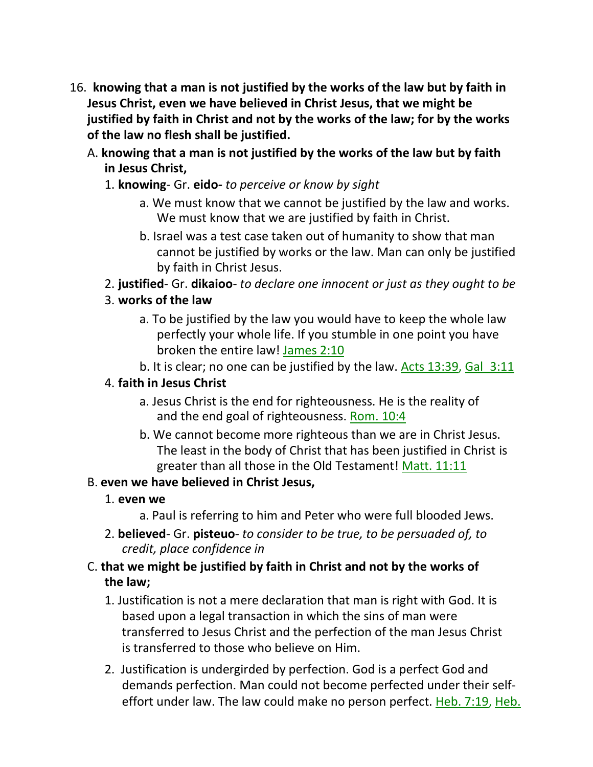- 16. **knowing that a man is not justified by the works of the law but by faith in Jesus Christ, even we have believed in Christ Jesus, that we might be justified by faith in Christ and not by the works of the law; for by the works of the law no flesh shall be justified.**
	- A. **knowing that a man is not justified by the works of the law but by faith in Jesus Christ,**
		- 1. **knowing** Gr. **eido***- to perceive or know by sight*
			- a. We must know that we cannot be justified by the law and works. We must know that we are justified by faith in Christ.
			- b. Israel was a test case taken out of humanity to show that man cannot be justified by works or the law. Man can only be justified by faith in Christ Jesus.
		- 2. **justified** Gr. **dikaioo** *to declare one innocent or just as they ought to be*
		- 3. **works of the law**
			- a. To be justified by the law you would have to keep the whole law perfectly your whole life. If you stumble in one point you have broken the entire law! James 2:10
			- b. It is clear; no one can be justified by the law. Acts 13:39, Gal 3:11

# 4. **faith in Jesus Christ**

- a. Jesus Christ is the end for righteousness. He is the reality of and the end goal of righteousness. Rom. 10:4
- b. We cannot become more righteous than we are in Christ Jesus. The least in the body of Christ that has been justified in Christ is greater than all those in the Old Testament! Matt. 11:11

# B. **even we have believed in Christ Jesus,**

- 1. **even we**
	- a. Paul is referring to him and Peter who were full blooded Jews.
- 2. **believed** Gr. **pisteuo** *to consider to be true, to be persuaded of, to credit, place confidence in*

# C. **that we might be justified by faith in Christ and not by the works of the law;**

- 1. Justification is not a mere declaration that man is right with God. It is based upon a legal transaction in which the sins of man were transferred to Jesus Christ and the perfection of the man Jesus Christ is transferred to those who believe on Him.
- 2. Justification is undergirded by perfection. God is a perfect God and demands perfection. Man could not become perfected under their selfeffort under law. The law could make no person perfect. Heb. 7:19, Heb.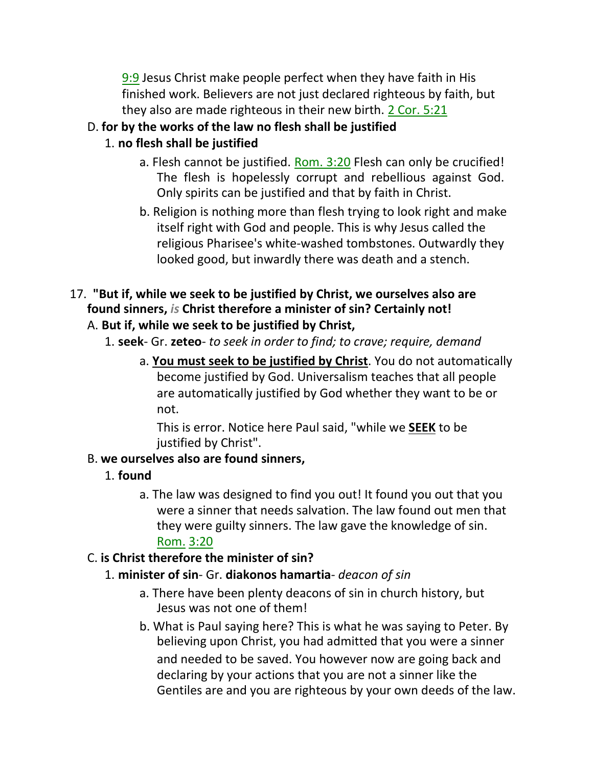9:9 Jesus Christ make people perfect when they have faith in His finished work. Believers are not just declared righteous by faith, but they also are made righteous in their new birth. 2 Cor. 5:21

# D. **for by the works of the law no flesh shall be justified**

# 1. **no flesh shall be justified**

- a. Flesh cannot be justified. Rom. 3:20 Flesh can only be crucified! The flesh is hopelessly corrupt and rebellious against God. Only spirits can be justified and that by faith in Christ.
- b. Religion is nothing more than flesh trying to look right and make itself right with God and people. This is why Jesus called the religious Pharisee's white-washed tombstones. Outwardly they looked good, but inwardly there was death and a stench.

# 17. **"But if, while we seek to be justified by Christ, we ourselves also are found sinners,** *is* **Christ therefore a minister of sin? Certainly not!**

# A. **But if, while we seek to be justified by Christ,**

- 1. **seek** Gr. **zeteo** *to seek in order to find; to crave; require, demand*
	- a. **You must seek to be justified by Christ**. You do not automatically become justified by God. Universalism teaches that all people are automatically justified by God whether they want to be or not.

This is error. Notice here Paul said, "while we **SEEK** to be justified by Christ".

# B. **we ourselves also are found sinners,**

# 1. **found**

a. The law was designed to find you out! It found you out that you were a sinner that needs salvation. The law found out men that they were guilty sinners. The law gave the knowledge of sin. Rom. 3:20

# C. **is Christ therefore the minister of sin?**

# 1. **minister of sin**- Gr. **diakonos hamartia**- *deacon of sin*

- a. There have been plenty deacons of sin in church history, but Jesus was not one of them!
- b. What is Paul saying here? This is what he was saying to Peter. By believing upon Christ, you had admitted that you were a sinner and needed to be saved. You however now are going back and declaring by your actions that you are not a sinner like the Gentiles are and you are righteous by your own deeds of the law.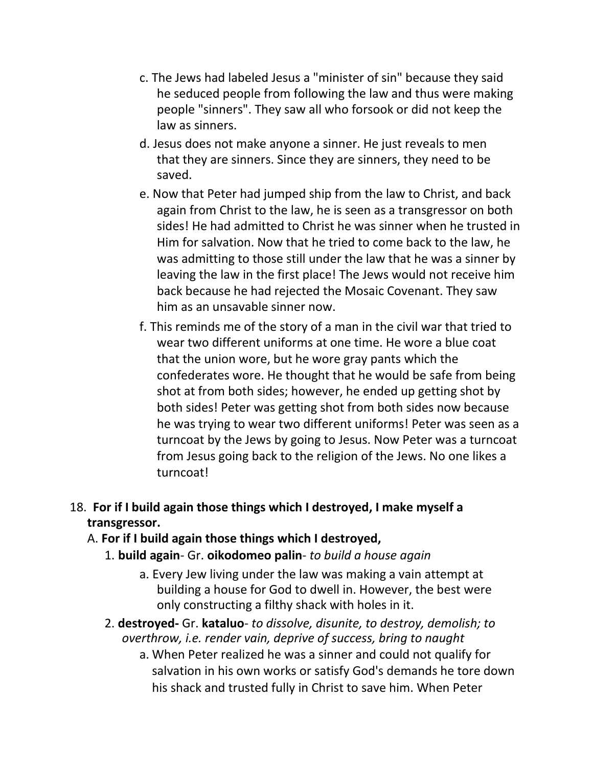- c. The Jews had labeled Jesus a "minister of sin" because they said he seduced people from following the law and thus were making people "sinners". They saw all who forsook or did not keep the law as sinners.
- d. Jesus does not make anyone a sinner. He just reveals to men that they are sinners. Since they are sinners, they need to be saved.
- e. Now that Peter had jumped ship from the law to Christ, and back again from Christ to the law, he is seen as a transgressor on both sides! He had admitted to Christ he was sinner when he trusted in Him for salvation. Now that he tried to come back to the law, he was admitting to those still under the law that he was a sinner by leaving the law in the first place! The Jews would not receive him back because he had rejected the Mosaic Covenant. They saw him as an unsavable sinner now.
- f. This reminds me of the story of a man in the civil war that tried to wear two different uniforms at one time. He wore a blue coat that the union wore, but he wore gray pants which the confederates wore. He thought that he would be safe from being shot at from both sides; however, he ended up getting shot by both sides! Peter was getting shot from both sides now because he was trying to wear two different uniforms! Peter was seen as a turncoat by the Jews by going to Jesus. Now Peter was a turncoat from Jesus going back to the religion of the Jews. No one likes a turncoat!

# 18. **For if I build again those things which I destroyed, I make myself a transgressor.**

#### A. **For if I build again those things which I destroyed,**

- 1. **build again** Gr. **oikodomeo palin** *to build a house again*
	- a. Every Jew living under the law was making a vain attempt at building a house for God to dwell in. However, the best were only constructing a filthy shack with holes in it.
- 2. **destroyed-** Gr. **kataluo** *to dissolve, disunite, to destroy, demolish; to overthrow, i.e. render vain, deprive of success, bring to naught*
	- a. When Peter realized he was a sinner and could not qualify for salvation in his own works or satisfy God's demands he tore down his shack and trusted fully in Christ to save him. When Peter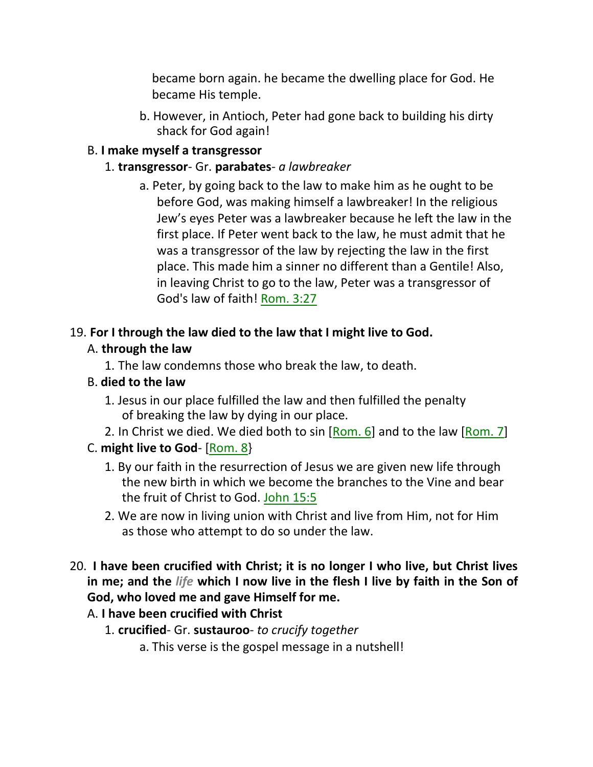became born again. he became the dwelling place for God. He became His temple.

b. However, in Antioch, Peter had gone back to building his dirty shack for God again!

### B. **I make myself a transgressor**

#### 1. **transgressor**- Gr. **parabates**- *a lawbreaker*

a. Peter, by going back to the law to make him as he ought to be before God, was making himself a lawbreaker! In the religious Jew's eyes Peter was a lawbreaker because he left the law in the first place. If Peter went back to the law, he must admit that he was a transgressor of the law by rejecting the law in the first place. This made him a sinner no different than a Gentile! Also, in leaving Christ to go to the law, Peter was a transgressor of God's law of faith! Rom. 3:27

### 19. **For I through the law died to the law that I might live to God.**

# A. **through the law**

1. The law condemns those who break the law, to death.

### B. **died to the law**

- 1. Jesus in our place fulfilled the law and then fulfilled the penalty of breaking the law by dying in our place.
- 2. In Christ we died. We died both to sin  $[Rom. 6]$  and to the law  $[Rom. 7]$

# C. **might live to God**- [Rom. 8}

- 1. By our faith in the resurrection of Jesus we are given new life through the new birth in which we become the branches to the Vine and bear the fruit of Christ to God. John 15:5
- 2. We are now in living union with Christ and live from Him, not for Him as those who attempt to do so under the law.
- 20. **I have been crucified with Christ; it is no longer I who live, but Christ lives in me; and the** *life* **which I now live in the flesh I live by faith in the Son of God, who loved me and gave Himself for me.**

# A. **I have been crucified with Christ**

- 1. **crucified** Gr. **sustauroo** *to crucify together*
	- a. This verse is the gospel message in a nutshell!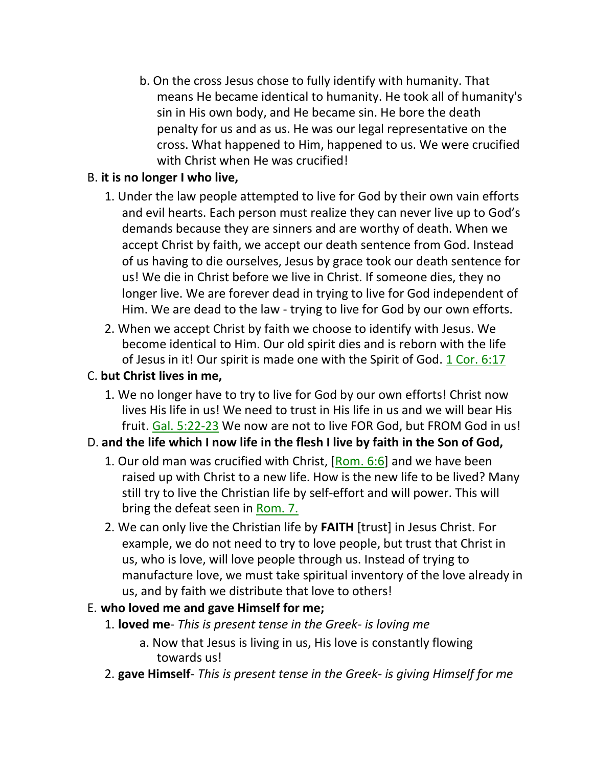b. On the cross Jesus chose to fully identify with humanity. That means He became identical to humanity. He took all of humanity's sin in His own body, and He became sin. He bore the death penalty for us and as us. He was our legal representative on the cross. What happened to Him, happened to us. We were crucified with Christ when He was crucified!

# B. **it is no longer I who live,**

- 1. Under the law people attempted to live for God by their own vain efforts and evil hearts. Each person must realize they can never live up to God's demands because they are sinners and are worthy of death. When we accept Christ by faith, we accept our death sentence from God. Instead of us having to die ourselves, Jesus by grace took our death sentence for us! We die in Christ before we live in Christ. If someone dies, they no longer live. We are forever dead in trying to live for God independent of Him. We are dead to the law - trying to live for God by our own efforts.
- 2. When we accept Christ by faith we choose to identify with Jesus. We become identical to Him. Our old spirit dies and is reborn with the life of Jesus in it! Our spirit is made one with the Spirit of God. 1 Cor. 6:17

#### C. **but Christ lives in me,**

1. We no longer have to try to live for God by our own efforts! Christ now lives His life in us! We need to trust in His life in us and we will bear His fruit. Gal. 5:22-23 We now are not to live FOR God, but FROM God in us!

# D. **and the life which I now life in the flesh I live by faith in the Son of God,**

- 1. Our old man was crucified with Christ, [Rom. 6:6] and we have been raised up with Christ to a new life. How is the new life to be lived? Many still try to live the Christian life by self-effort and will power. This will bring the defeat seen in Rom. 7.
- 2. We can only live the Christian life by **FAITH** [trust] in Jesus Christ. For example, we do not need to try to love people, but trust that Christ in us, who is love, will love people through us. Instead of trying to manufacture love, we must take spiritual inventory of the love already in us, and by faith we distribute that love to others!

#### E. **who loved me and gave Himself for me;**

- 1. **loved me** *This is present tense in the Greek- is loving me*
	- a. Now that Jesus is living in us, His love is constantly flowing towards us!
- 2. **gave Himself** *This is present tense in the Greek- is giving Himself for me*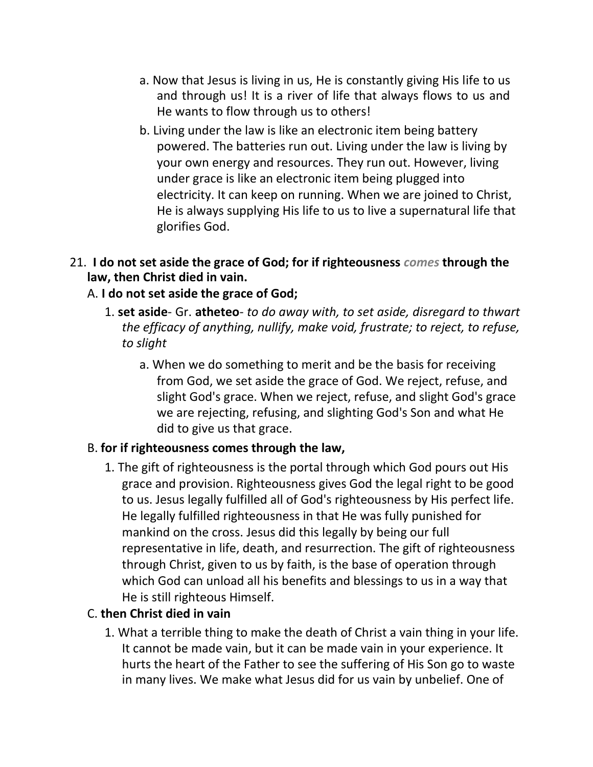- a. Now that Jesus is living in us, He is constantly giving His life to us and through us! It is a river of life that always flows to us and He wants to flow through us to others!
- b. Living under the law is like an electronic item being battery powered. The batteries run out. Living under the law is living by your own energy and resources. They run out. However, living under grace is like an electronic item being plugged into electricity. It can keep on running. When we are joined to Christ, He is always supplying His life to us to live a supernatural life that glorifies God.

#### 21. **I do not set aside the grace of God; for if righteousness** *comes* **through the law, then Christ died in vain.**

### A. **I do not set aside the grace of God;**

- 1. **set aside** Gr. **atheteo** *to do away with, to set aside, disregard to thwart the efficacy of anything, nullify, make void, frustrate; to reject, to refuse, to slight*
	- a. When we do something to merit and be the basis for receiving from God, we set aside the grace of God. We reject, refuse, and slight God's grace. When we reject, refuse, and slight God's grace we are rejecting, refusing, and slighting God's Son and what He did to give us that grace.

#### B. **for if righteousness comes through the law,**

1. The gift of righteousness is the portal through which God pours out His grace and provision. Righteousness gives God the legal right to be good to us. Jesus legally fulfilled all of God's righteousness by His perfect life. He legally fulfilled righteousness in that He was fully punished for mankind on the cross. Jesus did this legally by being our full representative in life, death, and resurrection. The gift of righteousness through Christ, given to us by faith, is the base of operation through which God can unload all his benefits and blessings to us in a way that He is still righteous Himself.

# C. **then Christ died in vain**

1. What a terrible thing to make the death of Christ a vain thing in your life. It cannot be made vain, but it can be made vain in your experience. It hurts the heart of the Father to see the suffering of His Son go to waste in many lives. We make what Jesus did for us vain by unbelief. One of